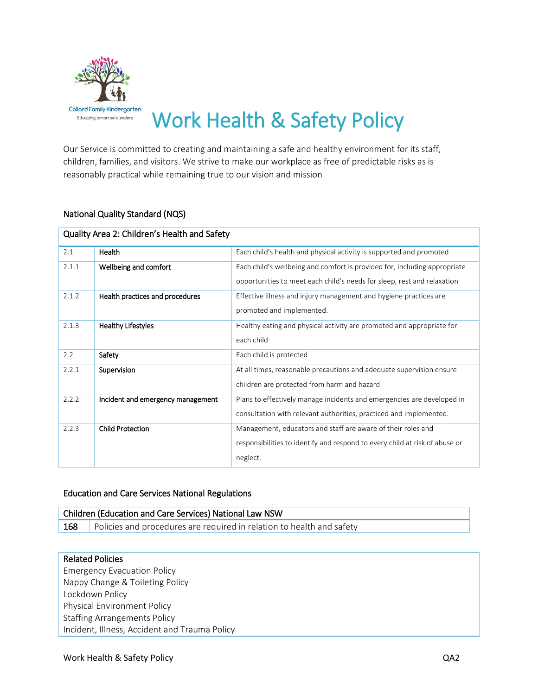

# Work Health & Safety Policy

Our Service is committed to creating and maintaining a safe and healthy environment for its staff, children, families, and visitors. We strive to make our workplace as free of predictable risks as is reasonably practical while remaining true to our vision and mission

# National Quality Standard (NQS)

| Quality Area 2: Children's Health and Safety |                                   |                                                                             |  |  |
|----------------------------------------------|-----------------------------------|-----------------------------------------------------------------------------|--|--|
| 2.1                                          | Health                            | Each child's health and physical activity is supported and promoted         |  |  |
| 2.1.1                                        | Wellbeing and comfort             | Each child's wellbeing and comfort is provided for, including appropriate   |  |  |
|                                              |                                   | opportunities to meet each child's needs for sleep, rest and relaxation     |  |  |
| 2.1.2                                        | Health practices and procedures   | Effective illness and injury management and hygiene practices are           |  |  |
|                                              |                                   | promoted and implemented.                                                   |  |  |
| 2.1.3                                        | <b>Healthy Lifestyles</b>         | Healthy eating and physical activity are promoted and appropriate for       |  |  |
|                                              |                                   | each child                                                                  |  |  |
| 2.2                                          | Safety                            | Each child is protected                                                     |  |  |
| 2.2.1                                        | Supervision                       | At all times, reasonable precautions and adequate supervision ensure        |  |  |
|                                              |                                   | children are protected from harm and hazard                                 |  |  |
| 2.2.2                                        | Incident and emergency management | Plans to effectively manage incidents and emergencies are developed in      |  |  |
|                                              |                                   | consultation with relevant authorities, practiced and implemented.          |  |  |
| 2.2.3                                        | <b>Child Protection</b>           | Management, educators and staff are aware of their roles and                |  |  |
|                                              |                                   | responsibilities to identify and respond to every child at risk of abuse or |  |  |
|                                              |                                   | neglect.                                                                    |  |  |

#### Education and Care Services National Regulations

| Children (Education and Care Services) National Law NSW |                                                                       |  |  |
|---------------------------------------------------------|-----------------------------------------------------------------------|--|--|
| 168                                                     | Policies and procedures are required in relation to health and safety |  |  |

#### Related Policies

Emergency Evacuation Policy Nappy Change & Toileting Policy Lockdown Policy Physical Environment Policy Staffing Arrangements Policy Incident, Illness, Accident and Trauma Policy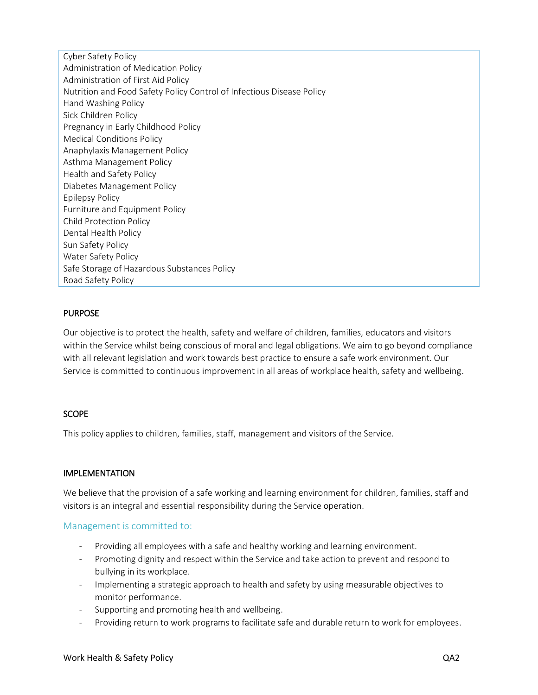Cyber Safety Policy Administration of Medication Policy Administration of First Aid Policy Nutrition and Food Safety Policy Control of Infectious Disease Policy Hand Washing Policy Sick Children Policy Pregnancy in Early Childhood Policy Medical Conditions Policy Anaphylaxis Management Policy Asthma Management Policy Health and Safety Policy Diabetes Management Policy Epilepsy Policy Furniture and Equipment Policy Child Protection Policy Dental Health Policy Sun Safety Policy Water Safety Policy Safe Storage of Hazardous Substances Policy Road Safety Policy

# **PURPOSE**

Our objective is to protect the health, safety and welfare of children, families, educators and visitors within the Service whilst being conscious of moral and legal obligations. We aim to go beyond compliance with all relevant legislation and work towards best practice to ensure a safe work environment. Our Service is committed to continuous improvement in all areas of workplace health, safety and wellbeing.

#### **SCOPE**

This policy applies to children, families, staff, management and visitors of the Service.

#### IMPLEMENTATION

We believe that the provision of a safe working and learning environment for children, families, staff and visitors is an integral and essential responsibility during the Service operation.

#### Management is committed to:

- Providing all employees with a safe and healthy working and learning environment.
- Promoting dignity and respect within the Service and take action to prevent and respond to bullying in its workplace.
- Implementing a strategic approach to health and safety by using measurable objectives to monitor performance.
- Supporting and promoting health and wellbeing.
- Providing return to work programs to facilitate safe and durable return to work for employees.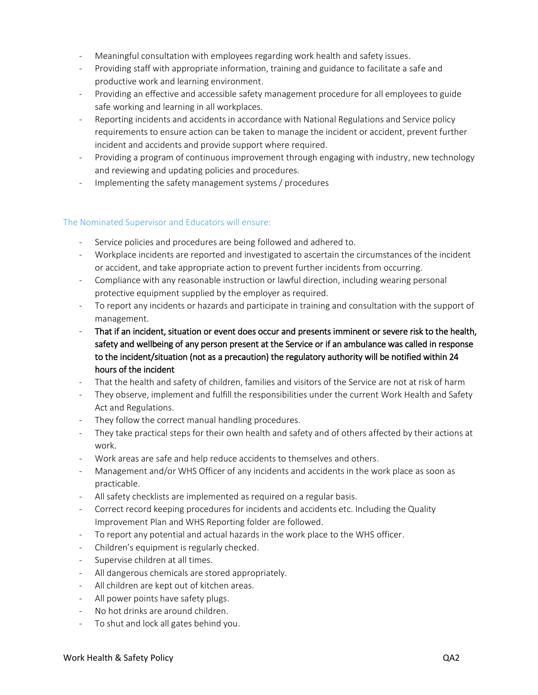- Meaningful consultation with employees regarding work health and safety issues.
- Providing staff with appropriate information, training and guidance to facilitate a safe and productive work and learning environment.
- Providing an effective and accessible safety management procedure for all employees to guide safe working and learning in all workplaces.
- Reporting incidents and accidents in accordance with National Regulations and Service policy requirements to ensure action can be taken to manage the incident or accident, prevent further incident and accidents and provide support where required.
- Providing a program of continuous improvement through engaging with industry, new technology and reviewing and updating policies and procedures.
- Implementing the safety management systems / procedures

# The Nominated Supervisor and Educators will ensure:

- Service policies and procedures are being followed and adhered to.
- Workplace incidents are reported and investigated to ascertain the circumstances of the incident or accident, and take appropriate action to prevent further incidents from occurring.
- Compliance with any reasonable instruction or lawful direction, including wearing personal protective equipment supplied by the employer as required.
- To report any incidents or hazards and participate in training and consultation with the support of management.
- That if an incident, situation or event does occur and presents imminent or severe risk to the health, safety and wellbeing of any person present at the Service or if an ambulance was called in response to the incident/situation (not as a precaution) the regulatory authority will be notified within 24 hours of the incident
- That the health and safety of children, families and visitors of the Service are not at risk of harm
- They observe, implement and fulfill the responsibilities under the current Work Health and Safety Act and Regulations.
- They follow the correct manual handling procedures.
- They take practical steps for their own health and safety and of others affected by their actions at work.
- Work areas are safe and help reduce accidents to themselves and others.
- Management and/or WHS Officer of any incidents and accidents in the work place as soon as practicable.
- All safety checklists are implemented as required on a regular basis.
- Correct record keeping procedures for incidents and accidents etc. Including the Quality Improvement Plan and WHS Reporting folder are followed.
- To report any potential and actual hazards in the work place to the WHS officer.
- Children's equipment is regularly checked.
- Supervise children at all times.
- All dangerous chemicals are stored appropriately.
- All children are kept out of kitchen areas.
- All power points have safety plugs.
- No hot drinks are around children.
- To shut and lock all gates behind you.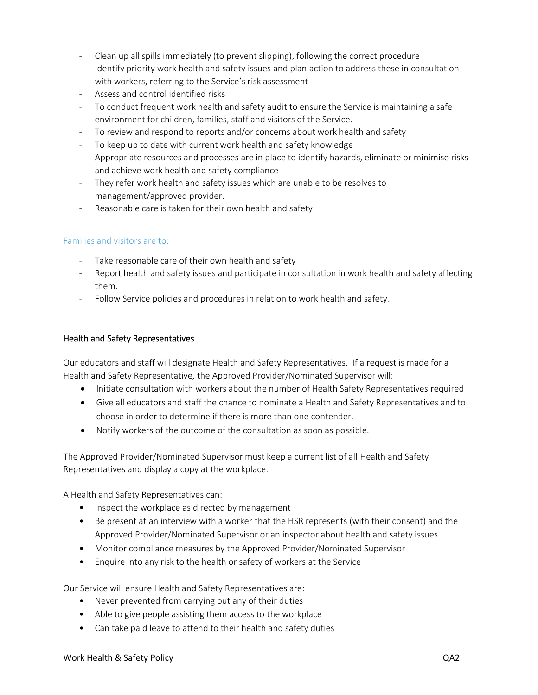- Clean up all spills immediately (to prevent slipping), following the correct procedure
- Identify priority work health and safety issues and plan action to address these in consultation with workers, referring to the Service's risk assessment
- Assess and control identified risks
- To conduct frequent work health and safety audit to ensure the Service is maintaining a safe environment for children, families, staff and visitors of the Service.
- To review and respond to reports and/or concerns about work health and safety
- To keep up to date with current work health and safety knowledge
- Appropriate resources and processes are in place to identify hazards, eliminate or minimise risks and achieve work health and safety compliance
- They refer work health and safety issues which are unable to be resolves to management/approved provider.
- Reasonable care is taken for their own health and safety

#### Families and visitors are to:

- Take reasonable care of their own health and safety
- Report health and safety issues and participate in consultation in work health and safety affecting them.
- Follow Service policies and procedures in relation to work health and safety.

#### Health and Safety Representatives

Our educators and staff will designate Health and Safety Representatives. If a request is made for a Health and Safety Representative, the Approved Provider/Nominated Supervisor will:

- Initiate consultation with workers about the number of Health Safety Representatives required
- Give all educators and staff the chance to nominate a Health and Safety Representatives and to choose in order to determine if there is more than one contender.
- Notify workers of the outcome of the consultation as soon as possible.

The Approved Provider/Nominated Supervisor must keep a current list of all Health and Safety Representatives and display a copy at the workplace.

A Health and Safety Representatives can:

- Inspect the workplace as directed by management
- Be present at an interview with a worker that the HSR represents (with their consent) and the Approved Provider/Nominated Supervisor or an inspector about health and safety issues
- Monitor compliance measures by the Approved Provider/Nominated Supervisor
- Enquire into any risk to the health or safety of workers at the Service

Our Service will ensure Health and Safety Representatives are:

- Never prevented from carrying out any of their duties
- Able to give people assisting them access to the workplace
- Can take paid leave to attend to their health and safety duties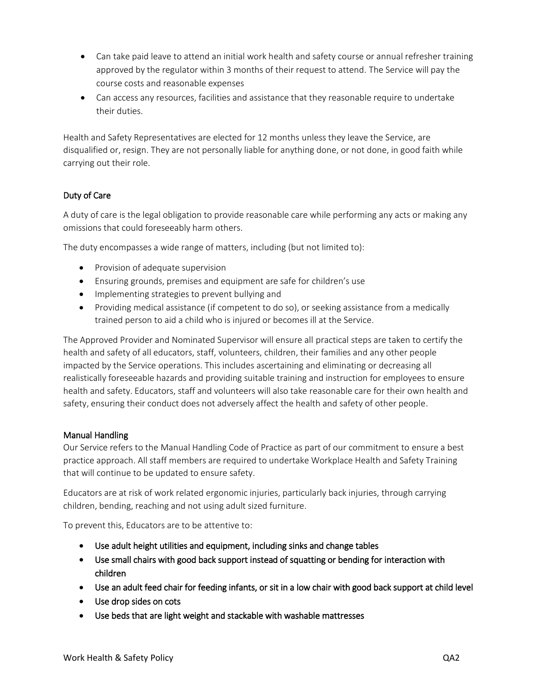- Can take paid leave to attend an initial work health and safety course or annual refresher training approved by the regulator within 3 months of their request to attend. The Service will pay the course costs and reasonable expenses
- Can access any resources, facilities and assistance that they reasonable require to undertake their duties.

Health and Safety Representatives are elected for 12 months unless they leave the Service, are disqualified or, resign. They are not personally liable for anything done, or not done, in good faith while carrying out their role.

# Duty of Care

A duty of care is the legal obligation to provide reasonable care while performing any acts or making any omissions that could foreseeably harm others.

The duty encompasses a wide range of matters, including (but not limited to):

- Provision of adequate supervision
- Ensuring grounds, premises and equipment are safe for children's use
- Implementing strategies to prevent bullying and
- Providing medical assistance (if competent to do so), or seeking assistance from a medically trained person to aid a child who is injured or becomes ill at the Service.

The Approved Provider and Nominated Supervisor will ensure all practical steps are taken to certify the health and safety of all educators, staff, volunteers, children, their families and any other people impacted by the Service operations. This includes ascertaining and eliminating or decreasing all realistically foreseeable hazards and providing suitable training and instruction for employees to ensure health and safety. Educators, staff and volunteers will also take reasonable care for their own health and safety, ensuring their conduct does not adversely affect the health and safety of other people.

# Manual Handling

Our Service refers to the [Manual Handling Code of Practice](http://www.workcover.nsw.gov.au/formspublications/publications/Documents/manualhandling_riskguide_1443.pdf) as part of our commitment to ensure a best practice approach. All staff members are required to undertake Workplace Health and Safety Training that will continue to be updated to ensure safety.

Educators are at risk of work related ergonomic injuries, particularly back injuries, through carrying children, bending, reaching and not using adult sized furniture.

To prevent this, Educators are to be attentive to:

- Use adult height utilities and equipment, including sinks and change tables
- Use small chairs with good back support instead of squatting or bending for interaction with children
- Use an adult feed chair for feeding infants, or sit in a low chair with good back support at child level
- Use drop sides on cots
- Use beds that are light weight and stackable with washable mattresses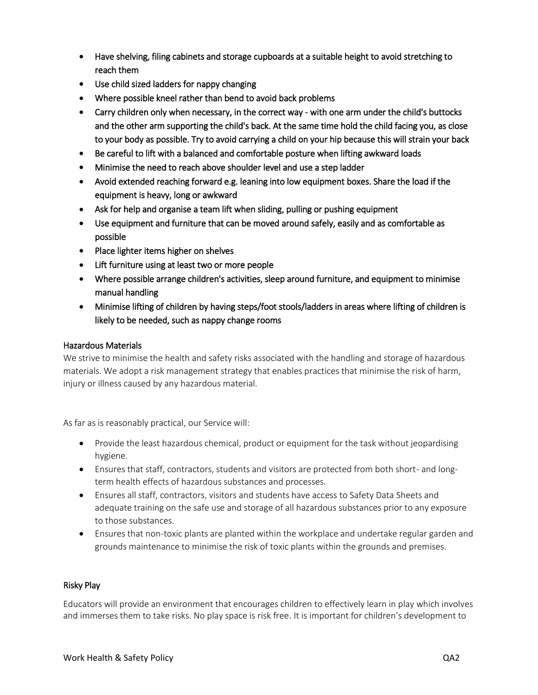- Have shelving, filing cabinets and storage cupboards at a suitable height to avoid stretching to reach them
- Use child sized ladders for nappy changing
- Where possible kneel rather than bend to avoid back problems
- Carry children only when necessary, in the correct way with one arm under the child's buttocks and the other arm supporting the child's back. At the same time hold the child facing you, as close to your body as possible. Try to avoid carrying a child on your hip because this will strain your back
- Be careful to lift with a balanced and comfortable posture when lifting awkward loads
- Minimise the need to reach above shoulder level and use a step ladder
- Avoid extended reaching forward e.g. leaning into low equipment boxes. Share the load if the equipment is heavy, long or awkward
- Ask for help and organise a team lift when sliding, pulling or pushing equipment
- Use equipment and furniture that can be moved around safely, easily and as comfortable as possible
- Place lighter items higher on shelves
- Lift furniture using at least two or more people
- Where possible arrange children's activities, sleep around furniture, and equipment to minimise manual handling
- Minimise lifting of children by having steps/foot stools/ladders in areas where lifting of children is likely to be needed, such as nappy change rooms

# Hazardous Materials

We strive to minimise the health and safety risks associated with the handling and storage of hazardous materials. We adopt a risk management strategy that enables practices that minimise the risk of harm, injury or illness caused by any hazardous material.

As far as is reasonably practical, our Service will:

- Provide the least hazardous chemical, product or equipment for the task without jeopardising hygiene.
- Ensures that staff, contractors, students and visitors are protected from both short- and longterm health effects of hazardous substances and processes.
- Ensures all staff, contractors, visitors and students have access to Safety Data Sheets and adequate training on the safe use and storage of all hazardous substances prior to any exposure to those substances.
- Ensures that non-toxic plants are planted within the workplace and undertake regular garden and grounds maintenance to minimise the risk of toxic plants within the grounds and premises.

#### Risky Play

Educators will provide an environment that encourages children to effectively learn in play which involves and immerses them to take risks. No play space is risk free. It is important for children's development to